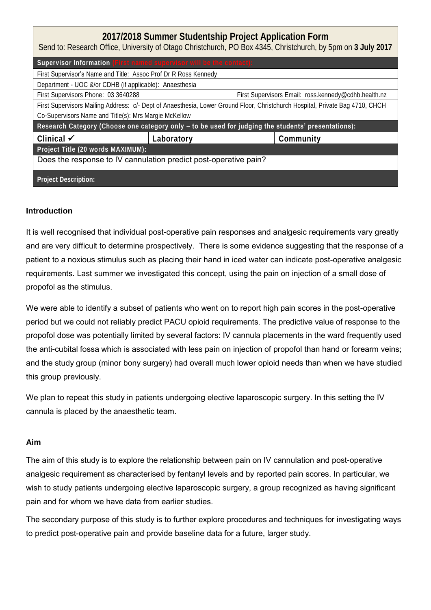| 2017/2018 Summer Studentship Project Application Form<br>Send to: Research Office, University of Otago Christchurch, PO Box 4345, Christchurch, by 5pm on 3 July 2017 |            |                                                      |           |  |  |  |  |
|-----------------------------------------------------------------------------------------------------------------------------------------------------------------------|------------|------------------------------------------------------|-----------|--|--|--|--|
| Supervisor Information (First named supervisor will be the contact):                                                                                                  |            |                                                      |           |  |  |  |  |
| First Supervisor's Name and Title: Assoc Prof Dr R Ross Kennedy                                                                                                       |            |                                                      |           |  |  |  |  |
| Department - UOC &/or CDHB (if applicable): Anaesthesia                                                                                                               |            |                                                      |           |  |  |  |  |
| First Supervisors Phone: 03 3640288                                                                                                                                   |            | First Supervisors Email: ross.kennedy@cdhb.health.nz |           |  |  |  |  |
| First Supervisors Mailing Address: c/- Dept of Anaesthesia, Lower Ground Floor, Christchurch Hospital, Private Bag 4710, CHCH                                         |            |                                                      |           |  |  |  |  |
| Co-Supervisors Name and Title(s): Mrs Margie McKellow                                                                                                                 |            |                                                      |           |  |  |  |  |
| Research Category (Choose one category only - to be used for judging the students' presentations):                                                                    |            |                                                      |           |  |  |  |  |
| Clinical $\checkmark$                                                                                                                                                 | Laboratory |                                                      | Community |  |  |  |  |
| Project Title (20 words MAXIMUM):                                                                                                                                     |            |                                                      |           |  |  |  |  |
| Does the response to IV cannulation predict post-operative pain?                                                                                                      |            |                                                      |           |  |  |  |  |
| Project Description:                                                                                                                                                  |            |                                                      |           |  |  |  |  |

# **Introduction**

It is well recognised that individual post-operative pain responses and analgesic requirements vary greatly and are very difficult to determine prospectively. There is some evidence suggesting that the response of a patient to a noxious stimulus such as placing their hand in iced water can indicate post-operative analgesic requirements. Last summer we investigated this concept, using the pain on injection of a small dose of propofol as the stimulus.

We were able to identify a subset of patients who went on to report high pain scores in the post-operative period but we could not reliably predict PACU opioid requirements. The predictive value of response to the propofol dose was potentially limited by several factors: IV cannula placements in the ward frequently used the anti-cubital fossa which is associated with less pain on injection of propofol than hand or forearm veins; and the study group (minor bony surgery) had overall much lower opioid needs than when we have studied this group previously.

We plan to repeat this study in patients undergoing elective laparoscopic surgery. In this setting the IV cannula is placed by the anaesthetic team.

## **Aim**

The aim of this study is to explore the relationship between pain on IV cannulation and post-operative analgesic requirement as characterised by fentanyl levels and by reported pain scores. In particular, we wish to study patients undergoing elective laparoscopic surgery, a group recognized as having significant pain and for whom we have data from earlier studies.

The secondary purpose of this study is to further explore procedures and techniques for investigating ways to predict post-operative pain and provide baseline data for a future, larger study.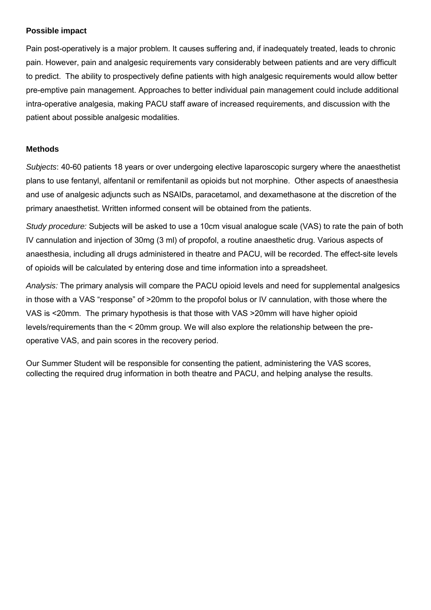### **Possible impact**

Pain post-operatively is a major problem. It causes suffering and, if inadequately treated, leads to chronic pain. However, pain and analgesic requirements vary considerably between patients and are very difficult to predict. The ability to prospectively define patients with high analgesic requirements would allow better pre-emptive pain management. Approaches to better individual pain management could include additional intra-operative analgesia, making PACU staff aware of increased requirements, and discussion with the patient about possible analgesic modalities.

## **Methods**

*Subjects*: 40-60 patients 18 years or over undergoing elective laparoscopic surgery where the anaesthetist plans to use fentanyl, alfentanil or remifentanil as opioids but not morphine. Other aspects of anaesthesia and use of analgesic adjuncts such as NSAIDs, paracetamol, and dexamethasone at the discretion of the primary anaesthetist. Written informed consent will be obtained from the patients.

*Study procedure:* Subjects will be asked to use a 10cm visual analogue scale (VAS) to rate the pain of both IV cannulation and injection of 30mg (3 ml) of propofol, a routine anaesthetic drug. Various aspects of anaesthesia, including all drugs administered in theatre and PACU, will be recorded. The effect-site levels of opioids will be calculated by entering dose and time information into a spreadsheet.

*Analysis:* The primary analysis will compare the PACU opioid levels and need for supplemental analgesics in those with a VAS "response" of >20mm to the propofol bolus or IV cannulation, with those where the VAS is <20mm. The primary hypothesis is that those with VAS >20mm will have higher opioid levels/requirements than the < 20mm group. We will also explore the relationship between the preoperative VAS, and pain scores in the recovery period.

Our Summer Student will be responsible for consenting the patient, administering the VAS scores, collecting the required drug information in both theatre and PACU, and helping analyse the results.